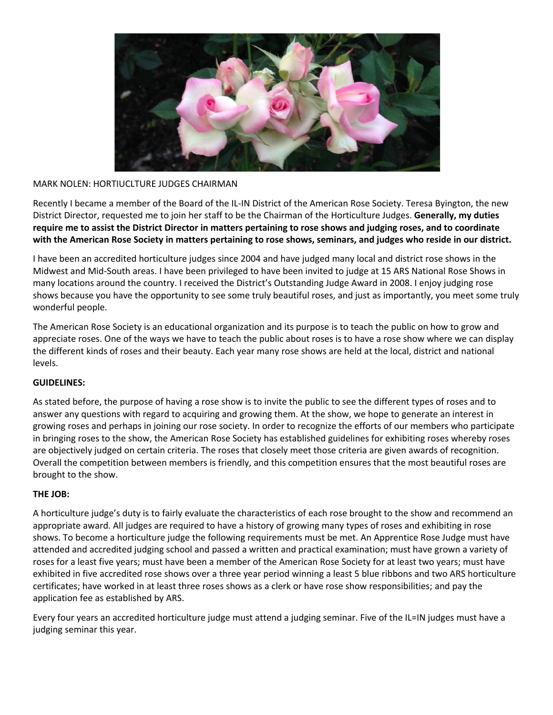

## MARK NOLEN: HORTIUCLTURE JUDGES CHAIRMAN

Recently I became a member of the Board of the IL-IN District of the American Rose Society. Teresa Byington, the new District Director, requested me to join her staff to be the Chairman of the Horticulture Judges. **Generally, my duties require me to assist the District Director in matters pertaining to rose shows and judging roses, and to coordinate with the American Rose Society in matters pertaining to rose shows, seminars, and judges who reside in our district.**

I have been an accredited horticulture judges since 2004 and have judged many local and district rose shows in the Midwest and Mid-South areas. I have been privileged to have been invited to judge at 15 ARS National Rose Shows in many locations around the country. I received the District's Outstanding Judge Award in 2008. I enjoy judging rose shows because you have the opportunity to see some truly beautiful roses, and just as importantly, you meet some truly wonderful people.

The American Rose Society is an educational organization and its purpose is to teach the public on how to grow and appreciate roses. One of the ways we have to teach the public about roses is to have a rose show where we can display the different kinds of roses and their beauty. Each year many rose shows are held at the local, district and national levels.

## **GUIDELINES:**

As stated before, the purpose of having a rose show is to invite the public to see the different types of roses and to answer any questions with regard to acquiring and growing them. At the show, we hope to generate an interest in growing roses and perhaps in joining our rose society. In order to recognize the efforts of our members who participate in bringing roses to the show, the American Rose Society has established guidelines for exhibiting roses whereby roses are objectively judged on certain criteria. The roses that closely meet those criteria are given awards of recognition. Overall the competition between members is friendly, and this competition ensures that the most beautiful roses are brought to the show.

## **THE JOB:**

A horticulture judge's duty is to fairly evaluate the characteristics of each rose brought to the show and recommend an appropriate award. All judges are required to have a history of growing many types of roses and exhibiting in rose shows. To become a horticulture judge the following requirements must be met. An Apprentice Rose Judge must have attended and accredited judging school and passed a written and practical examination; must have grown a variety of roses for a least five years; must have been a member of the American Rose Society for at least two years; must have exhibited in five accredited rose shows over a three year period winning a least 5 blue ribbons and two ARS horticulture certificates; have worked in at least three roses shows as a clerk or have rose show responsibilities; and pay the application fee as established by ARS.

Every four years an accredited horticulture judge must attend a judging seminar. Five of the IL=IN judges must have a judging seminar this year.